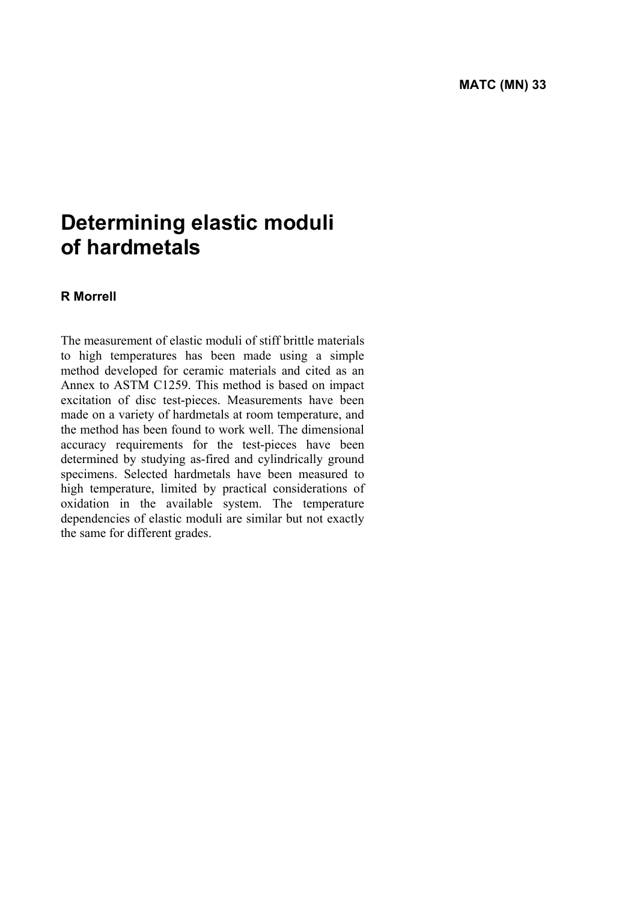# **Determining elastic moduli of hardmetals**

#### **R Morrell**

The measurement of elastic moduli of stiff brittle materials to high temperatures has been made using a simple method developed for ceramic materials and cited as an Annex to ASTM C1259. This method is based on impact excitation of disc test-pieces. Measurements have been made on a variety of hardmetals at room temperature, and the method has been found to work well. The dimensional accuracy requirements for the test-pieces have been determined by studying as-fired and cylindrically ground specimens. Selected hardmetals have been measured to high temperature, limited by practical considerations of oxidation in the available system. The temperature dependencies of elastic moduli are similar but not exactly the same for different grades.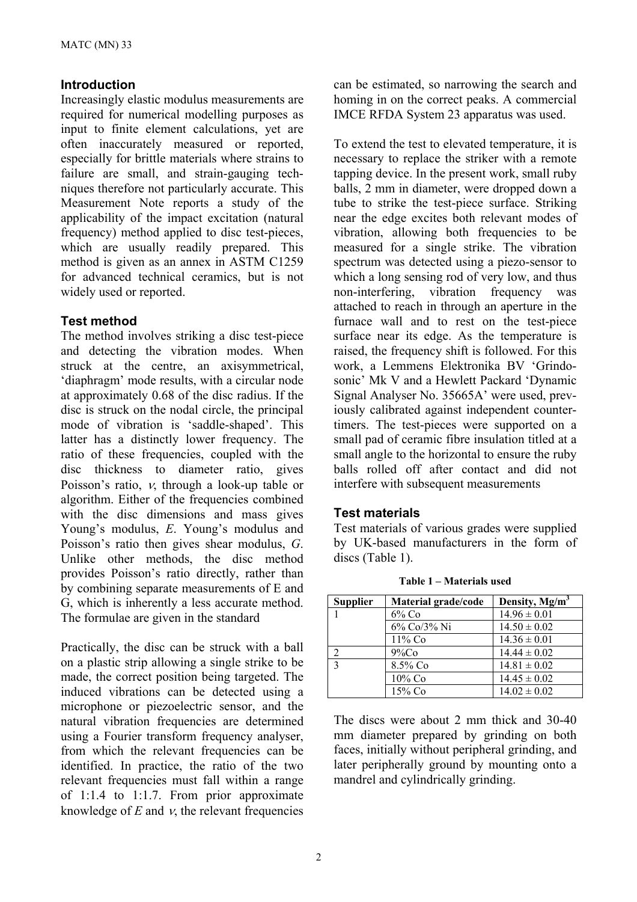## **Introduction**

Increasingly elastic modulus measurements are required for numerical modelling purposes as input to finite element calculations, yet are often inaccurately measured or reported, especially for brittle materials where strains to failure are small, and strain-gauging techniques therefore not particularly accurate. This Measurement Note reports a study of the applicability of the impact excitation (natural frequency) method applied to disc test-pieces, which are usually readily prepared. This method is given as an annex in ASTM C1259 for advanced technical ceramics, but is not widely used or reported.

## **Test method**

The method involves striking a disc test-piece and detecting the vibration modes. When struck at the centre, an axisymmetrical, 'diaphragm' mode results, with a circular node at approximately 0.68 of the disc radius. If the disc is struck on the nodal circle, the principal mode of vibration is 'saddle-shaped'. This latter has a distinctly lower frequency. The ratio of these frequencies, coupled with the disc thickness to diameter ratio, gives Poisson's ratio, ν, through a look-up table or algorithm. Either of the frequencies combined with the disc dimensions and mass gives Young's modulus, *E*. Young's modulus and Poisson's ratio then gives shear modulus, *G*. Unlike other methods, the disc method provides Poisson's ratio directly, rather than by combining separate measurements of E and G, which is inherently a less accurate method. The formulae are given in the standard

Practically, the disc can be struck with a ball on a plastic strip allowing a single strike to be made, the correct position being targeted. The induced vibrations can be detected using a microphone or piezoelectric sensor, and the natural vibration frequencies are determined using a Fourier transform frequency analyser, from which the relevant frequencies can be identified. In practice, the ratio of the two relevant frequencies must fall within a range of 1:1.4 to 1:1.7. From prior approximate knowledge of  $E$  and  $v$ , the relevant frequencies

can be estimated, so narrowing the search and homing in on the correct peaks. A commercial IMCE RFDA System 23 apparatus was used.

To extend the test to elevated temperature, it is necessary to replace the striker with a remote tapping device. In the present work, small ruby balls, 2 mm in diameter, were dropped down a tube to strike the test-piece surface. Striking near the edge excites both relevant modes of vibration, allowing both frequencies to be measured for a single strike. The vibration spectrum was detected using a piezo-sensor to which a long sensing rod of very low, and thus non-interfering, vibration frequency was attached to reach in through an aperture in the furnace wall and to rest on the test-piece surface near its edge. As the temperature is raised, the frequency shift is followed. For this work, a Lemmens Elektronika BV 'Grindosonic' Mk V and a Hewlett Packard 'Dynamic Signal Analyser No. 35665A' were used, previously calibrated against independent countertimers. The test-pieces were supported on a small pad of ceramic fibre insulation titled at a small angle to the horizontal to ensure the ruby balls rolled off after contact and did not interfere with subsequent measurements

## **Test materials**

Test materials of various grades were supplied by UK-based manufacturers in the form of discs (Table 1).

| <b>Supplier</b> | Material grade/code | Density, Mg/m <sup>3</sup> |
|-----------------|---------------------|----------------------------|
|                 | $6\%$ Co            | $14.96 \pm 0.01$           |
|                 | 6% Co/3% Ni         | $14.50 \pm 0.02$           |
|                 | $11\%$ Co           | $14.36 \pm 0.01$           |
| ∍               | 9%Co                | $14.44 \pm 0.02$           |
| $\mathbf{c}$    | 8.5% Co             | $14.81 \pm 0.02$           |
|                 | $10\%$ Co           | $14.45 \pm 0.02$           |
|                 | 15% Co              | $14.02 \pm 0.02$           |

**Table 1 – Materials used** 

The discs were about 2 mm thick and 30-40 mm diameter prepared by grinding on both faces, initially without peripheral grinding, and later peripherally ground by mounting onto a mandrel and cylindrically grinding.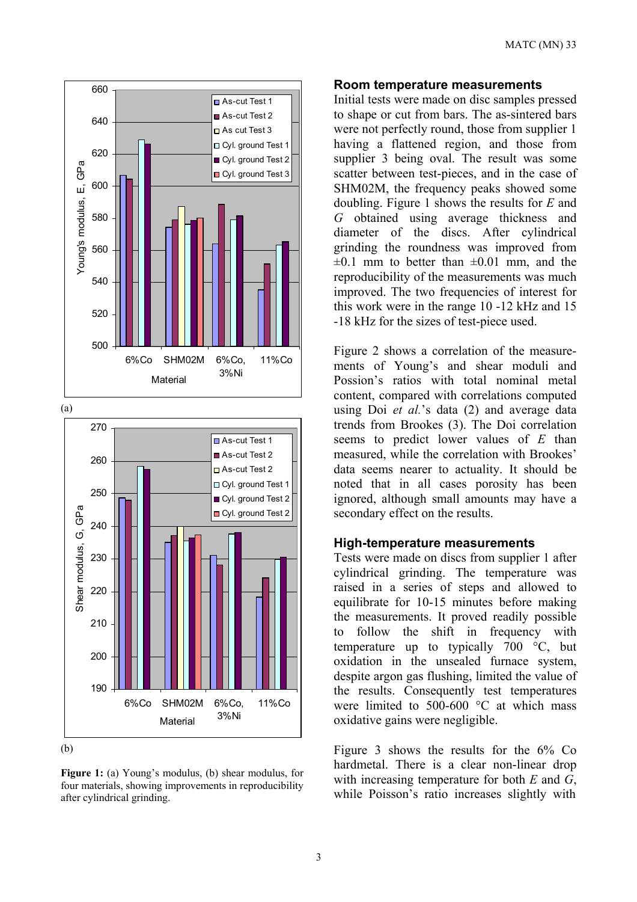

(b)

**Figure 1:** (a) Young's modulus, (b) shear modulus, for four materials, showing improvements in reproducibility after cylindrical grinding.

#### **Room temperature measurements**

Initial tests were made on disc samples pressed to shape or cut from bars. The as-sintered bars were not perfectly round, those from supplier 1 having a flattened region, and those from supplier 3 being oval. The result was some scatter between test-pieces, and in the case of SHM02M, the frequency peaks showed some doubling. Figure 1 shows the results for *E* and *G* obtained using average thickness and diameter of the discs. After cylindrical grinding the roundness was improved from  $\pm 0.1$  mm to better than  $\pm 0.01$  mm, and the reproducibility of the measurements was much improved. The two frequencies of interest for this work were in the range 10 -12 kHz and 15 -18 kHz for the sizes of test-piece used.

Figure 2 shows a correlation of the measurements of Young's and shear moduli and Possion's ratios with total nominal metal content, compared with correlations computed using Doi *et al.*'s data (2) and average data trends from Brookes (3). The Doi correlation seems to predict lower values of *E* than measured, while the correlation with Brookes' data seems nearer to actuality. It should be noted that in all cases porosity has been ignored, although small amounts may have a secondary effect on the results.

#### **High-temperature measurements**

Tests were made on discs from supplier 1 after cylindrical grinding. The temperature was raised in a series of steps and allowed to equilibrate for 10-15 minutes before making the measurements. It proved readily possible to follow the shift in frequency with temperature up to typically 700 °C, but oxidation in the unsealed furnace system, despite argon gas flushing, limited the value of the results. Consequently test temperatures were limited to 500-600 °C at which mass oxidative gains were negligible.

Figure 3 shows the results for the 6% Co hardmetal. There is a clear non-linear drop with increasing temperature for both *E* and *G*, while Poisson's ratio increases slightly with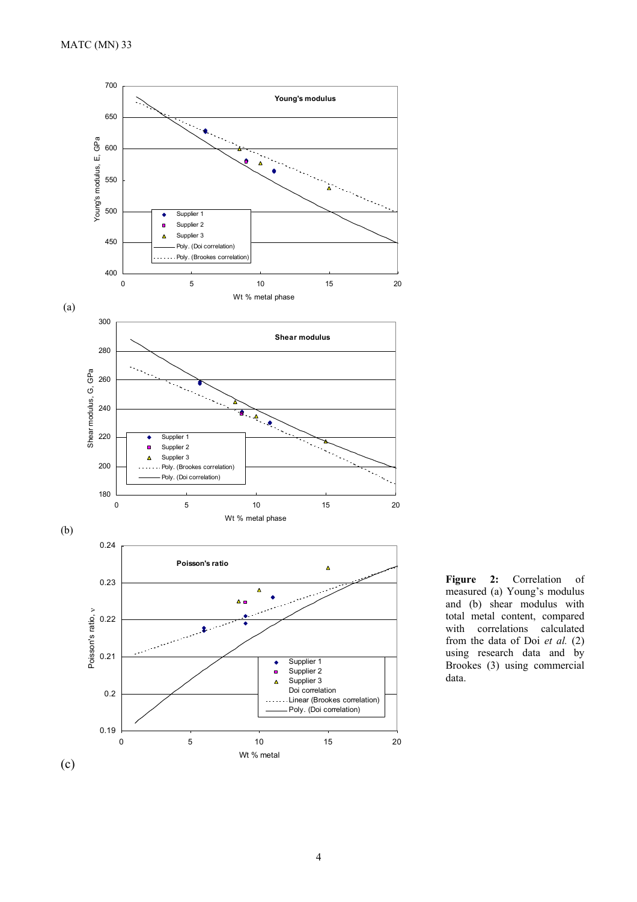

**Figure 2:** Correlation of measured (a) Young's modulus and (b) shear modulus with total metal content, compared with correlations calculated from the data of Doi *et al.* (2) using research data and by Brookes (3) using commercial data.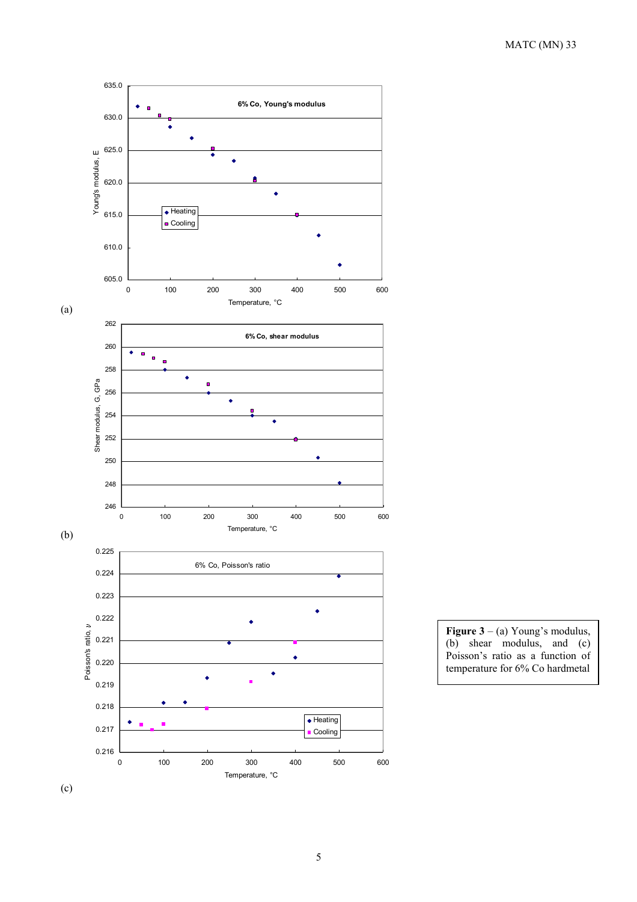

**Figure 3** – (a) Young's modulus, (b) shear modulus, and (c) Poisson's ratio as a function of temperature for 6% Co hardmetal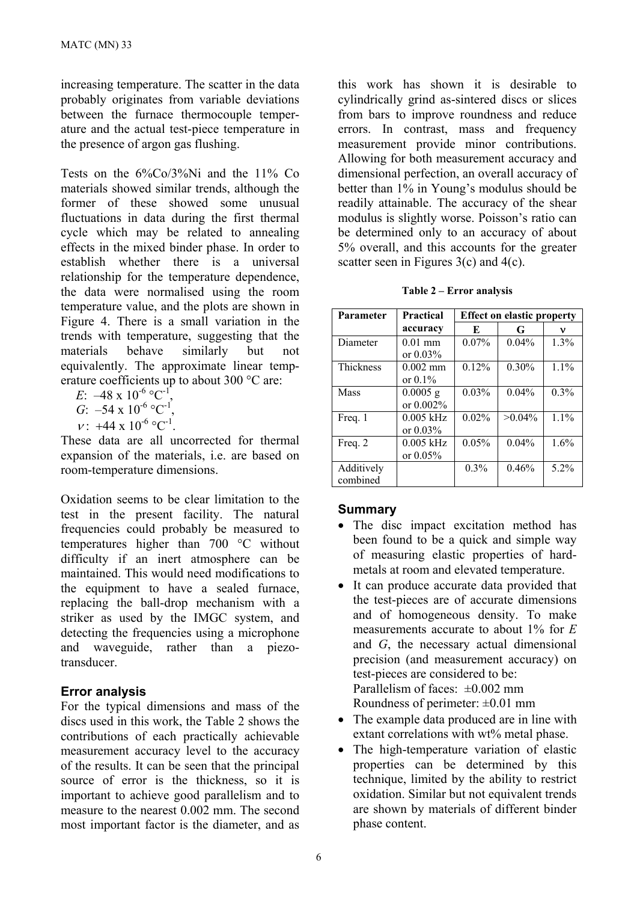increasing temperature. The scatter in the data probably originates from variable deviations between the furnace thermocouple temperature and the actual test-piece temperature in the presence of argon gas flushing.

Tests on the 6%Co/3%Ni and the 11% Co materials showed similar trends, although the former of these showed some unusual fluctuations in data during the first thermal cycle which may be related to annealing effects in the mixed binder phase. In order to establish whether there is a universal relationship for the temperature dependence, the data were normalised using the room temperature value, and the plots are shown in Figure 4. There is a small variation in the trends with temperature, suggesting that the materials behave similarly but not equivalently. The approximate linear temperature coefficients up to about 300 °C are:

 $E: -48 \times 10^{-6}$  °C<sup>-1</sup> *G*:  $-54 \times 10^{-6} \, \text{°C}^{-1}$ ,  $v: +44 \times 10^{-6}$  °C<sup>-1</sup>.

These data are all uncorrected for thermal expansion of the materials, i.e. are based on room-temperature dimensions.

Oxidation seems to be clear limitation to the test in the present facility. The natural frequencies could probably be measured to temperatures higher than 700 °C without difficulty if an inert atmosphere can be maintained. This would need modifications to the equipment to have a sealed furnace, replacing the ball-drop mechanism with a striker as used by the IMGC system, and detecting the frequencies using a microphone and waveguide, rather than a piezotransducer.

## **Error analysis**

For the typical dimensions and mass of the discs used in this work, the Table 2 shows the contributions of each practically achievable measurement accuracy level to the accuracy of the results. It can be seen that the principal source of error is the thickness, so it is important to achieve good parallelism and to measure to the nearest 0.002 mm. The second most important factor is the diameter, and as

this work has shown it is desirable to cylindrically grind as-sintered discs or slices from bars to improve roundness and reduce errors. In contrast, mass and frequency measurement provide minor contributions. Allowing for both measurement accuracy and dimensional perfection, an overall accuracy of better than 1% in Young's modulus should be readily attainable. The accuracy of the shear modulus is slightly worse. Poisson's ratio can be determined only to an accuracy of about 5% overall, and this accounts for the greater scatter seen in Figures 3(c) and 4(c).

|  | Table 2 – Error analysis |
|--|--------------------------|
|  |                          |

| <b>Parameter</b>       | <b>Practical</b>           | <b>Effect on elastic property</b> |           |         |  |
|------------------------|----------------------------|-----------------------------------|-----------|---------|--|
|                        | accuracy                   | E                                 | G         | ν       |  |
| Diameter               | $0.01$ mm<br>or $0.03\%$   | 0.07%                             | $0.04\%$  | 1.3%    |  |
| <b>Thickness</b>       | $0.002$ mm<br>or $0.1\%$   | 0.12%                             | 0.30%     | 1.1%    |  |
| Mass                   | $0.0005$ g<br>or 0.002%    | 0.03%                             | $0.04\%$  | 0.3%    |  |
| Freq. 1                | $0.005$ kHz<br>or $0.03\%$ | 0.02%                             | $>0.04\%$ | $1.1\%$ |  |
| Freq. 2                | $0.005$ kHz<br>or $0.05%$  | 0.05%                             | $0.04\%$  | 1.6%    |  |
| Additively<br>combined |                            | $0.3\%$                           | 0.46%     | $5.2\%$ |  |

## **Summary**

- The disc impact excitation method has been found to be a quick and simple way of measuring elastic properties of hardmetals at room and elevated temperature.
- It can produce accurate data provided that the test-pieces are of accurate dimensions and of homogeneous density. To make measurements accurate to about 1% for *E* and *G*, the necessary actual dimensional precision (and measurement accuracy) on test-pieces are considered to be: Parallelism of faces:  $\pm 0.002$  mm Roundness of perimeter:  $\pm 0.01$  mm
- The example data produced are in line with extant correlations with wt% metal phase.
- The high-temperature variation of elastic properties can be determined by this technique, limited by the ability to restrict oxidation. Similar but not equivalent trends are shown by materials of different binder phase content.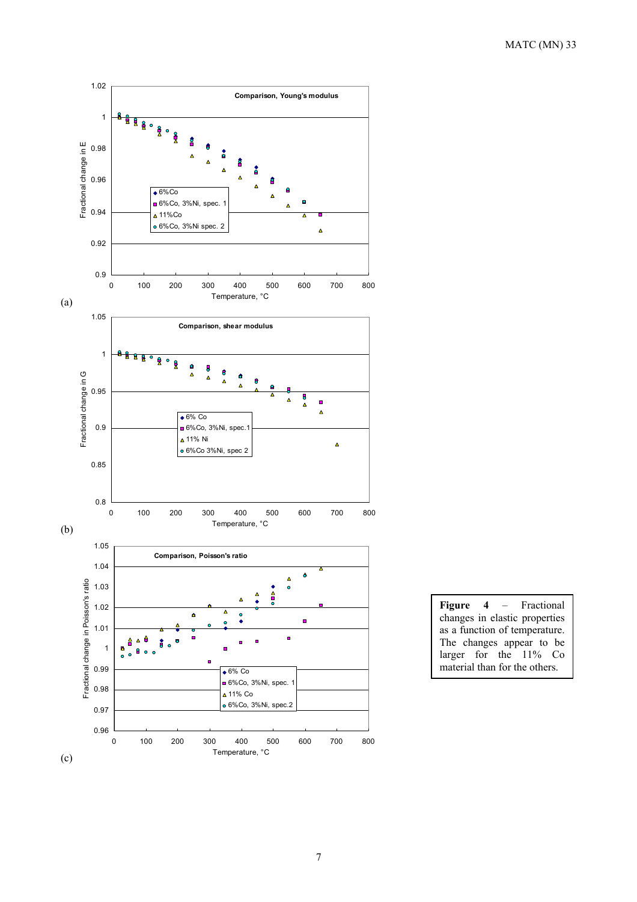